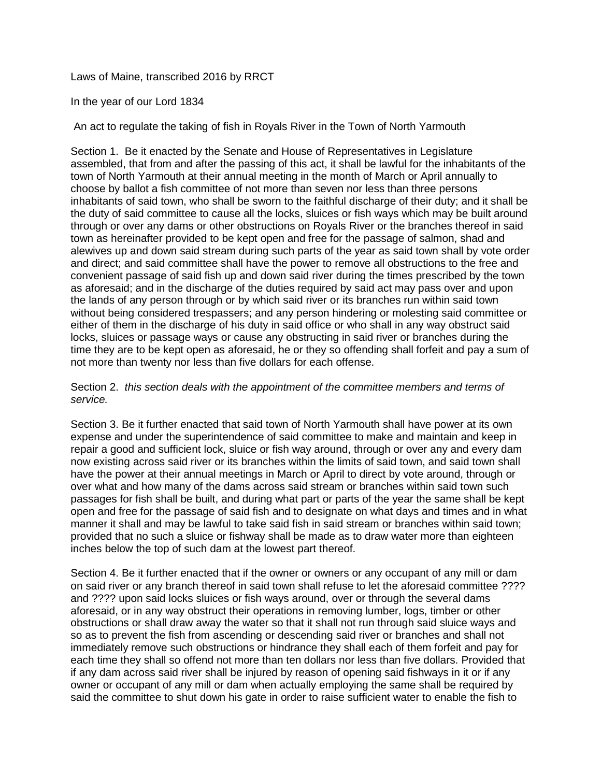Laws of Maine, transcribed 2016 by RRCT

In the year of our Lord 1834

An act to regulate the taking of fish in Royals River in the Town of North Yarmouth

Section 1. Be it enacted by the Senate and House of Representatives in Legislature assembled, that from and after the passing of this act, it shall be lawful for the inhabitants of the town of North Yarmouth at their annual meeting in the month of March or April annually to choose by ballot a fish committee of not more than seven nor less than three persons inhabitants of said town, who shall be sworn to the faithful discharge of their duty; and it shall be the duty of said committee to cause all the locks, sluices or fish ways which may be built around through or over any dams or other obstructions on Royals River or the branches thereof in said town as hereinafter provided to be kept open and free for the passage of salmon, shad and alewives up and down said stream during such parts of the year as said town shall by vote order and direct; and said committee shall have the power to remove all obstructions to the free and convenient passage of said fish up and down said river during the times prescribed by the town as aforesaid; and in the discharge of the duties required by said act may pass over and upon the lands of any person through or by which said river or its branches run within said town without being considered trespassers; and any person hindering or molesting said committee or either of them in the discharge of his duty in said office or who shall in any way obstruct said locks, sluices or passage ways or cause any obstructing in said river or branches during the time they are to be kept open as aforesaid, he or they so offending shall forfeit and pay a sum of not more than twenty nor less than five dollars for each offense.

Section 2. *this section deals with the appointment of the committee members and terms of service.*

Section 3. Be it further enacted that said town of North Yarmouth shall have power at its own expense and under the superintendence of said committee to make and maintain and keep in repair a good and sufficient lock, sluice or fish way around, through or over any and every dam now existing across said river or its branches within the limits of said town, and said town shall have the power at their annual meetings in March or April to direct by vote around, through or over what and how many of the dams across said stream or branches within said town such passages for fish shall be built, and during what part or parts of the year the same shall be kept open and free for the passage of said fish and to designate on what days and times and in what manner it shall and may be lawful to take said fish in said stream or branches within said town; provided that no such a sluice or fishway shall be made as to draw water more than eighteen inches below the top of such dam at the lowest part thereof.

Section 4. Be it further enacted that if the owner or owners or any occupant of any mill or dam on said river or any branch thereof in said town shall refuse to let the aforesaid committee ???? and ???? upon said locks sluices or fish ways around, over or through the several dams aforesaid, or in any way obstruct their operations in removing lumber, logs, timber or other obstructions or shall draw away the water so that it shall not run through said sluice ways and so as to prevent the fish from ascending or descending said river or branches and shall not immediately remove such obstructions or hindrance they shall each of them forfeit and pay for each time they shall so offend not more than ten dollars nor less than five dollars. Provided that if any dam across said river shall be injured by reason of opening said fishways in it or if any owner or occupant of any mill or dam when actually employing the same shall be required by said the committee to shut down his gate in order to raise sufficient water to enable the fish to